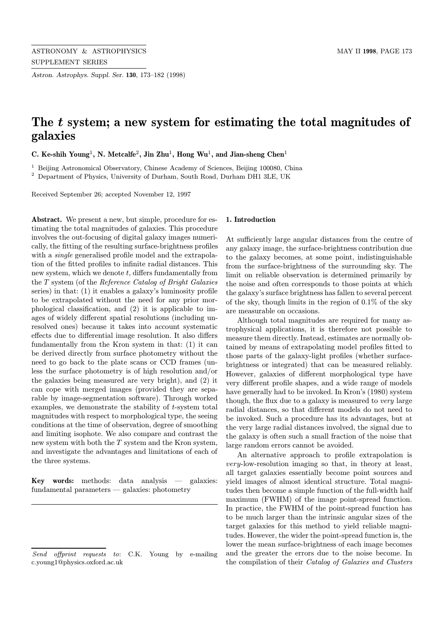Astron. Astrophys. Suppl. Ser. 130, 173–182 (1998)

# The t system; a new system for estimating the total magnitudes of galaxies

C. Ke-shih Young<sup>1</sup>, N. Metcalfe<sup>2</sup>, Jin Zhu<sup>1</sup>, Hong Wu<sup>1</sup>, and Jian-sheng Chen<sup>1</sup>

<sup>1</sup> Beijing Astronomical Observatory, Chinese Academy of Sciences, Beijing 100080, China

<sup>2</sup> Department of Physics, University of Durham, South Road, Durham DH1 3LE, UK

Received September 26; accepted November 12, 1997

Abstract. We present a new, but simple, procedure for estimating the total magnitudes of galaxies. This procedure involves the out-focusing of digital galaxy images numerically, the fitting of the resulting surface-brightness profiles with a *single* generalised profile model and the extrapolation of the fitted profiles to infinite radial distances. This new system, which we denote  $t$ , differs fundamentally from the T system (of the Reference Catalog of Bright Galaxies series) in that: (1) it enables a galaxy's luminosity profile to be extrapolated without the need for any prior morphological classification, and (2) it is applicable to images of widely different spatial resolutions (including unresolved ones) because it takes into account systematic effects due to differential image resolution. It also differs fundamentally from the Kron system in that: (1) it can be derived directly from surface photometry without the need to go back to the plate scans or CCD frames (unless the surface photometry is of high resolution and/or the galaxies being measured are very bright), and (2) it can cope with merged images (provided they are separable by image-segmentation software). Through worked examples, we demonstrate the stability of  $t$ -system total magnitudes with respect to morphological type, the seeing conditions at the time of observation, degree of smoothing and limiting isophote. We also compare and contrast the new system with both the T system and the Kron system, and investigate the advantages and limitations of each of the three systems.

Key words: methods: data analysis — galaxies: fundamental parameters — galaxies: photometry

## 1. Introduction

At sufficiently large angular distances from the centre of any galaxy image, the surface-brightness contribution due to the galaxy becomes, at some point, indistinguishable from the surface-brightness of the surrounding sky. The limit on reliable observation is determined primarily by the noise and often corresponds to those points at which the galaxy's surface brightness has fallen to several percent of the sky, though limits in the region of 0.1% of the sky are measurable on occasions.

Although total magnitudes are required for many astrophysical applications, it is therefore not possible to measure them directly. Instead, estimates are normally obtained by means of extrapolating model profiles fitted to those parts of the galaxy-light profiles (whether surfacebrightness or integrated) that can be measured reliably. However, galaxies of different morphological type have very different profile shapes, and a wide range of models have generally had to be invoked. In Kron's (1980) system though, the flux due to a galaxy is measured to very large radial distances, so that different models do not need to be invoked. Such a procedure has its advantages, but at the very large radial distances involved, the signal due to the galaxy is often such a small fraction of the noise that large random errors cannot be avoided.

An alternative approach to profile extrapolation is very-low-resolution imaging so that, in theory at least, all target galaxies essentially become point sources and yield images of almost identical structure. Total magnitudes then become a simple function of the full-width half maximum (FWHM) of the image point-spread function. In practice, the FWHM of the point-spread function has to be much larger than the intrinsic angular sizes of the target galaxies for this method to yield reliable magnitudes. However, the wider the point-spread function is, the lower the mean surface-brightness of each image becomes and the greater the errors due to the noise become. In the compilation of their Catalog of Galaxies and Clusters

Send offprint requests to: C.K. Young by e-mailing c.young1@physics.oxford.ac.uk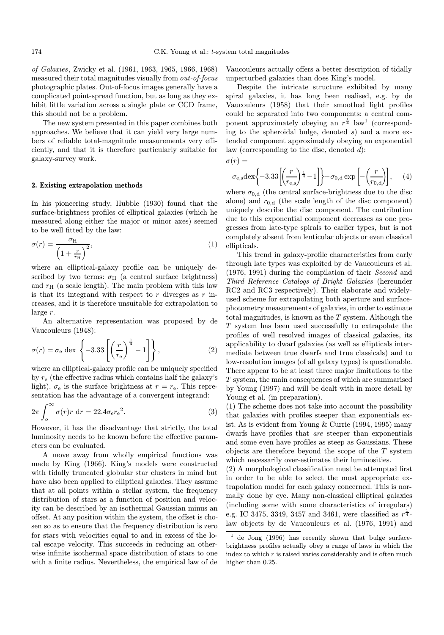of Galaxies, Zwicky et al. (1961, 1963, 1965, 1966, 1968) measured their total magnitudes visually from out-of-focus photographic plates. Out-of-focus images generally have a complicated point-spread function, but as long as they exhibit little variation across a single plate or CCD frame, this should not be a problem.

The new system presented in this paper combines both approaches. We believe that it can yield very large numbers of reliable total-magnitude measurements very efficiently, and that it is therefore particularly suitable for galaxy-survey work.

#### 2. Existing extrapolation methods

In his pioneering study, Hubble (1930) found that the surface-brightness profiles of elliptical galaxies (which he measured along either the major or minor axes) seemed to be well fitted by the law:

$$
\sigma(r) = \frac{\sigma_{\rm H}}{\left(1 + \frac{r}{r_{\rm H}}\right)^2},\tag{1}
$$

where an elliptical-galaxy profile can be uniquely described by two terms:  $\sigma_H$  (a central surface brightness) and  $r_H$  (a scale length). The main problem with this law is that its integrand with respect to  $r$  diverges as  $r$  increases, and it is therefore unsuitable for extrapolation to large r.

An alternative representation was proposed by de Vaucouleurs (1948):

$$
\sigma(r) = \sigma_{\rm e} \, \det \left\{ -3.33 \left[ \left( \frac{r}{r_{\rm e}} \right)^{\frac{1}{4}} - 1 \right] \right\},\tag{2}
$$

where an elliptical-galaxy profile can be uniquely specified by  $r_{e}$  (the effective radius which contains half the galaxy's light).  $\sigma_e$  is the surface brightness at  $r = r_e$ . This representation has the advantage of a convergent integrand:

$$
2\pi \int_{o}^{\infty} \sigma(r)r \, dr = 22.4\sigma_{e}r_{e}^{2}.
$$
 (3)

However, it has the disadvantage that strictly, the total luminosity needs to be known before the effective parameters can be evaluated.

A move away from wholly empirical functions was made by King (1966). King's models were constructed with tidally truncated globular star clusters in mind but have also been applied to elliptical galaxies. They assume that at all points within a stellar system, the frequency distribution of stars as a function of position and velocity can be described by an isothermal Gaussian minus an offset. At any position within the system, the offset is chosen so as to ensure that the frequency distribution is zero for stars with velocities equal to and in excess of the local escape velocity. This succeeds in reducing an otherwise infinite isothermal space distribution of stars to one with a finite radius. Nevertheless, the empirical law of de

Vaucouleurs actually offers a better description of tidally unperturbed galaxies than does King's model.

Despite the intricate structure exhibited by many spiral galaxies, it has long been realised, e.g. by de Vaucouleurs (1958) that their smoothed light profiles could be separated into two components: a central component approximately obeying an  $r^{\frac{1}{4}}$  law<sup>1</sup> (corresponding to the spheroidal bulge, denoted  $s$ ) and a more extended component approximately obeying an exponential law (corresponding to the disc, denoted  $d$ ):

 $\sigma(r) =$ 

$$
\sigma_{\rm e,s} \det \left\{ -3.33 \left[ \left( \frac{r}{r_{\rm e,s}} \right)^{\frac{1}{4}} - 1 \right] \right\} + \sigma_{0,\rm d} \exp \left[ -\left( \frac{r}{r_{0,\rm d}} \right) \right],\qquad(4)
$$

where  $\sigma_{0,d}$  (the central surface-brightness due to the disc alone) and  $r_{0,d}$  (the scale length of the disc component) uniquely describe the disc component. The contribution due to this exponential component decreases as one progresses from late-type spirals to earlier types, but is not completely absent from lenticular objects or even classical ellipticals.

This trend in galaxy-profile characteristics from early through late types was exploited by de Vaucouleurs et al. (1976, 1991) during the compilation of their Second and Third Reference Catalogs of Bright Galaxies (hereunder RC2 and RC3 respectively). Their elaborate and widelyused scheme for extrapolating both aperture and surfacephotometry measurements of galaxies, in order to estimate total magnitudes, is known as the  $T$  system. Although the T system has been used successfully to extrapolate the profiles of well resolved images of classical galaxies, its applicability to dwarf galaxies (as well as ellipticals intermediate between true dwarfs and true classicals) and to low-resolution images (of all galaxy types) is questionable. There appear to be at least three major limitations to the T system, the main consequences of which are summarised by Young (1997) and will be dealt with in more detail by Young et al. (in preparation).

(1) The scheme does not take into account the possibility that galaxies with profiles steeper than exponentials exist. As is evident from Young & Currie (1994, 1995) many dwarfs have profiles that are steeper than exponentials and some even have profiles as steep as Gaussians. These objects are therefore beyond the scope of the  $T$  system which necessarily over-estimates their luminosities.

(2) A morphological classification must be attempted first in order to be able to select the most appropriate extrapolation model for each galaxy concerned. This is normally done by eye. Many non-classical elliptical galaxies (including some with some characteristics of irregulars) e.g. IC 3475, 3349, 3457 and 3461, were classified as  $r^{\frac{1}{4}}$ law objects by de Vaucouleurs et al. (1976, 1991) and

 $1$  de Jong (1996) has recently shown that bulge surfacebrightness profiles actually obey a range of laws in which the index to which  $r$  is raised varies considerably and is often much higher than  $0.25$ .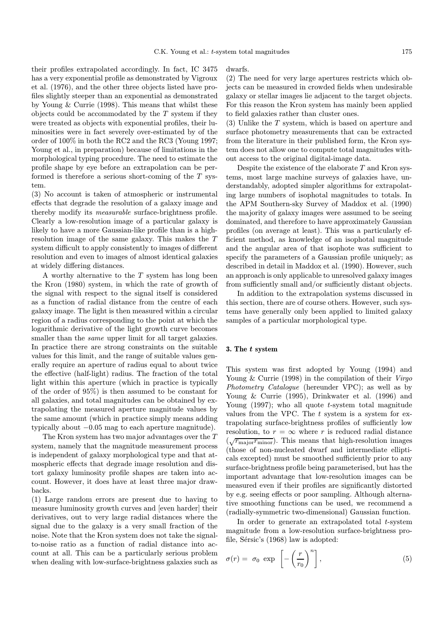their profiles extrapolated accordingly. In fact, IC 3475 has a very exponential profile as demonstrated by Vigroux et al. (1976), and the other three objects listed have profiles slightly steeper than an exponential as demonstrated by Young & Currie (1998). This means that whilst these objects could be accommodated by the  $T$  system if they were treated as objects with exponential profiles, their luminosities were in fact severely over-estimated by of the order of 100% in both the RC2 and the RC3 (Young 1997; Young et al., in preparation) because of limitations in the morphological typing procedure. The need to estimate the profile shape by eye before an extrapolation can be performed is therefore a serious short-coming of the  $T$  system.

(3) No account is taken of atmospheric or instrumental effects that degrade the resolution of a galaxy image and thereby modify its measurable surface-brightness profile. Clearly a low-resolution image of a particular galaxy is likely to have a more Gaussian-like profile than is a highresolution image of the same galaxy. This makes the T system difficult to apply consistently to images of different resolution and even to images of almost identical galaxies at widely differing distances.

A worthy alternative to the  $T$  system has long been the Kron (1980) system, in which the rate of growth of the signal with respect to the signal itself is considered as a function of radial distance from the centre of each galaxy image. The light is then measured within a circular region of a radius corresponding to the point at which the logarithmic derivative of the light growth curve becomes smaller than the *same* upper limit for all target galaxies. In practice there are strong constraints on the suitable values for this limit, and the range of suitable values generally require an aperture of radius equal to about twice the effective (half-light) radius. The fraction of the total light within this aperture (which in practice is typically of the order of 95%) is then assumed to be constant for all galaxies, and total magnitudes can be obtained by extrapolating the measured aperture magnitude values by the same amount (which in practice simply means adding typically about −0.05 mag to each aperture magnitude).

The Kron system has two major advantages over the T system, namely that the magnitude measurement process is independent of galaxy morphological type and that atmospheric effects that degrade image resolution and distort galaxy luminosity profile shapes are taken into account. However, it does have at least three major drawbacks.

(1) Large random errors are present due to having to measure luminosity growth curves and [even harder] their derivatives, out to very large radial distances where the signal due to the galaxy is a very small fraction of the noise. Note that the Kron system does not take the signalto-noise ratio as a function of radial distance into account at all. This can be a particularly serious problem when dealing with low-surface-brightness galaxies such as dwarfs.

(2) The need for very large apertures restricts which objects can be measured in crowded fields when undesirable galaxy or stellar images lie adjacent to the target objects. For this reason the Kron system has mainly been applied to field galaxies rather than cluster ones.

(3) Unlike the T system, which is based on aperture and surface photometry measurements that can be extracted from the literature in their published form, the Kron system does not allow one to compute total magnitudes without access to the original digital-image data.

Despite the existence of the elaborate  $T$  and Kron systems, most large machine surveys of galaxies have, understandably, adopted simpler algorithms for extrapolating large numbers of isophotal magnitudes to totals. In the APM Southern-sky Survey of Maddox et al. (1990) the majority of galaxy images were assumed to be seeing dominated, and therefore to have approximately Gaussian profiles (on average at least). This was a particularly efficient method, as knowledge of an isophotal magnitude and the angular area of that isophote was sufficient to specify the parameters of a Gaussian profile uniquely; as described in detail in Maddox et al. (1990). However, such an approach is only applicable to unresolved galaxy images from sufficiently small and/or sufficiently distant objects.

In addition to the extrapolation systems discussed in this section, there are of course others. However, such systems have generally only been applied to limited galaxy samples of a particular morphological type.

## 3. The t system

This system was first adopted by Young (1994) and Young & Currie (1998) in the compilation of their Virgo Photometry Catalogue (hereunder VPC); as well as by Young & Currie (1995), Drinkwater et al. (1996) and Young (1997); who all quote t-system total magnitude values from the VPC. The  $t$  system is a system for extrapolating surface-brightness profiles of sufficiently low resolution, to  $r = \infty$  where r is reduced radial distance (  $\sqrt{r_{\text{major}}r_{\text{minor}}}\$ . This means that high-resolution images (those of non-nucleated dwarf and intermediate ellipticals excepted) must be smoothed sufficiently prior to any surface-brightness profile being parameterised, but has the important advantage that low-resolution images can be measured even if their profiles are significantly distorted by e.g. seeing effects or poor sampling. Although alternative smoothing functions can be used, we recommend a (radially-symmetric two-dimensional) Gaussian function.

In order to generate an extrapolated total  $t$ -system magnitude from a low-resolution surface-brightness profile, Sérsic's  $(1968)$  law is adopted:

$$
\sigma(r) = \sigma_0 \exp\left[-\left(\frac{r}{r_0}\right)^n\right],\tag{5}
$$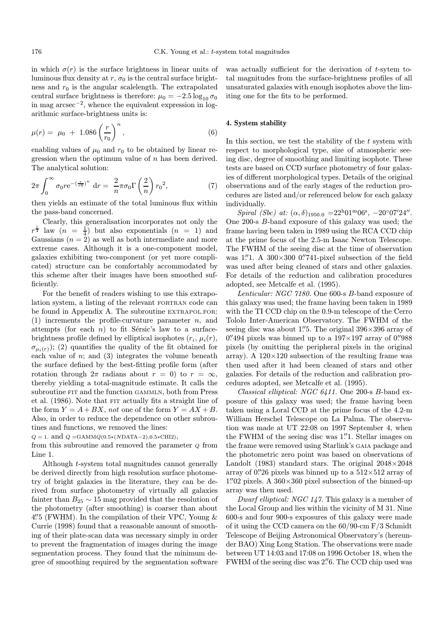in which  $\sigma(r)$  is the surface brightness in linear units of luminous flux density at r,  $\sigma_0$  is the central surface brightness and  $r_0$  is the angular scalelength. The extrapolated central surface brightness is therefore:  $\mu_0 = -2.5 \log_{10} \sigma_0$ in mag arcsec<sup>−</sup><sup>2</sup>, whence the equivalent expression in logarithmic surface-brightness units is:

$$
\mu(r) = \mu_0 + 1.086 \left(\frac{r}{r_0}\right)^n, \tag{6}
$$

enabling values of  $\mu_0$  and  $r_0$  to be obtained by linear regression when the optimum value of n has been derived. The analytical solution:

$$
2\pi \int_0^\infty \sigma_0 r e^{-(\frac{r}{r\sigma})^n} dr = \frac{2}{n} \pi \sigma_0 \Gamma\left(\frac{2}{n}\right) r_0^2,
$$
 (7)

then yields an estimate of the total luminous flux within the pass-band concerned.

Clearly, this generalisation incorporates not only the  $r^{\frac{1}{4}}$  law  $(n = \frac{1}{4})$  but also exponentials  $(n = 1)$  and Gaussians  $(n = 2)$  as well as both intermediate and more extreme cases. Although it is a one-component model, galaxies exhibiting two-component (or yet more complicated) structure can be comfortably accommodated by this scheme after their images have been smoothed sufficiently.

For the benefit of readers wishing to use this extrapolation system, a listing of the relevant FORTRAN code can be found in Appendix A. The subroutine EXTRAPOL.FOR: (1) increments the profile-curvature parameter  $n$ , and attempts (for each  $n$ ) to fit Sérsic's law to a surfacebrightness profile defined by elliptical isophotes  $(r_i, \mu_i(r))$ ,  $\sigma_{\mu_i(r)}$ ; (2) quantifies the quality of the fit obtained for each value of  $n$ ; and  $(3)$  integrates the volume beneath the surface defined by the best-fitting profile form (after rotation through  $2\pi$  radians about  $r = 0$ ) to  $r = \infty$ , thereby yielding a total-magnitude estimate. It calls the subroutine FIT and the function GAMMLN, both from Press et al. (1986). Note that FIT actually fits a straight line of the form  $Y = A + BX$ , not one of the form  $Y = AX + B$ . Also, in order to reduce the dependence on other subroutines and functions, we removed the lines:

 $Q = 1.$  and  $Q = GAMMQ(0.5*(NDATA-2), 0.5*CHI2),$ 

from this subroutine and removed the parameter  $Q$  from Line 1.

Although t-system total magnitudes cannot generally be derived directly from high resolution surface photometry of bright galaxies in the literature, they can be derived from surface photometry of virtually all galaxies fainter than  $B_{25} \sim 15$  mag provided that the resolution of the photometry (after smoothing) is coarser than about 4.<sup>"</sup> 5 (FWHM). In the compilation of their VPC, Young & Currie (1998) found that a reasonable amount of smoothing of their plate-scan data was necessary simply in order to prevent the fragmentation of images during the image segmentation process. They found that the minimum degree of smoothing required by the segmentation software

was actually sufficient for the derivation of t-sytem total magnitudes from the surface-brightness profiles of all unsaturated galaxies with enough isophotes above the limiting one for the fits to be performed.

## 4. System stability

In this section, we test the stability of the  $t$  system with respect to morphological type, size of atmospheric seeing disc, degree of smoothing and limiting isophote. These tests are based on CCD surface photometry of four galaxies of different morphological types. Details of the original observations and of the early stages of the reduction procedures are listed and/or referenced below for each galaxy individually.

Spiral (Sbc) at:  $(\alpha, \delta)_{1950.0} = 22^{h}01^{m}06^{s}$ ,  $-20^{\circ}07'24''$ . One 200-s B-band exposure of this galaxy was used; the frame having been taken in 1989 using the RCA CCD chip at the prime focus of the 2.5-m Isaac Newton Telescope. The FWHM of the seeing disc at the time of observation was  $1\rlap{.}^{\prime\prime}1.$  A 300 $\times$ 300 0.<sup>0</sup>. 741-pixel subsection of the field was used after being cleaned of stars and other galaxies. For details of the reduction and calibration procedures adopted, see Metcalfe et al. (1995).

Lenticular: NGC 7180. One 600-s B-band exposure of this galaxy was used; the frame having been taken in 1989 with the TI CCD chip on the 0.9-m telescope of the Cerro Tololo Inter-American Observatory. The FWHM of the seeing disc was about 1."5. The original  $396\times396$  array of  $0.^{\hspace*{-0.1cm}\prime\prime}494$  pixels was binned up to a  $197{\times}197$  array of  $0.^{\hspace*{-0.1cm}\prime\prime}988$ pixels (by omitting the peripheral pixels in the original array). A  $120 \times 120$  subsection of the resulting frame was then used after it had been cleaned of stars and other galaxies. For details of the reduction and calibration procedures adopted, see Metcalfe et al. (1995).

Classical elliptical: NGC 6411. One 200-s B-band exposure of this galaxy was used; the frame having been taken using a Loral CCD at the prime focus of the 4.2-m William Herschel Telescope on La Palma. The observation was made at UT 22:08 on 1997 September 4, when the FWHM of the seeing disc was 1."1. Stellar images on the frame were removed using Starlink's GAIA package and the photometric zero point was based on observations of Landolt (1983) standard stars. The original  $2048\times2048$ array of 0.''26 pixels was binned up to a  $512\times512$  array of  $1\rlap.{''}02$  pixels. A  $360\times360$  pixel subsection of the binned-up array was then used.

Dwarf elliptical: NGC 147. This galaxy is a member of the Local Group and lies within the vicinity of M 31. Nine 600-s and four 900-s exposures of this galaxy were made of it using the CCD camera on the 60/90-cm F/3 Schmidt Telescope of Beijing Astronomical Observatory's (hereunder BAO) Xing Long Station. The observations were made between UT 14:03 and 17:08 on 1996 October 18, when the FWHM of the seeing disc was 2.76. The CCD chip used was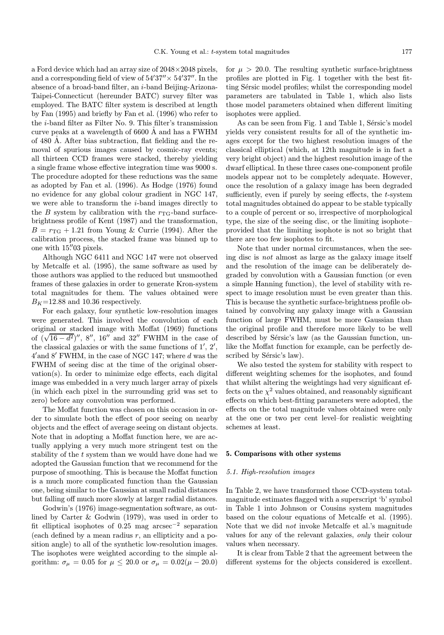a Ford device which had an array size of 2048×2048 pixels, and a corresponding field of view of  $54'37'' \times 54'37''$ . In the absence of a broad-band filter, an i-band Beijing-Arizona-Taipei-Connecticut (hereunder BATC) survey filter was employed. The BATC filter system is described at length by Fan (1995) and briefly by Fan et al. (1996) who refer to the i-band filter as Filter No. 9. This filter's transmission curve peaks at a wavelength of  $6600 \text{ Å}$  and has a FWHM of 480 Å. After bias subtraction, flat fielding and the removal of spurious images caused by cosmic-ray events; all thirteen CCD frames were stacked, thereby yielding a single frame whose effective integration time was 9000 s. The procedure adopted for these reductions was the same as adopted by Fan et al. (1996). As Hodge (1976) found no evidence for any global colour gradient in NGC 147, we were able to transform the  $i$ -band images directly to the B system by calibration with the  $r_{\text{TG}}$ -band surfacebrightness profile of Kent (1987) and the transformation,  $B = r_{\text{TG}} + 1.21$  from Young & Currie (1994). After the calibration process, the stacked frame was binned up to one with 15."03 pixels.

Although NGC 6411 and NGC 147 were not observed by Metcalfe et al. (1995), the same software as used by those authors was applied to the reduced but unsmoothed frames of these galaxies in order to generate Kron-system total magnitudes for them. The values obtained were  $B_K$ =12.88 and 10.36 respectively.

For each galaxy, four synthetic low-resolution images were generated. This involved the convolution of each original or stacked image with Moffat (1969) functions of  $(\sqrt{16 - d^2})''$ , 8'', 16" and 32" FWHM in the case of the classical galaxies or with the same functions of  $1', 2',$  $4'$  and  $8'$  FWHM, in the case of NGC 147; where  $d$  was the FWHM of seeing disc at the time of the original observation(s). In order to minimize edge effects, each digital image was embedded in a very much larger array of pixels (in which each pixel in the surrounding grid was set to zero) before any convolution was performed.

The Moffat function was chosen on this occasion in order to simulate both the effect of poor seeing on nearby objects and the effect of average seeing on distant objects. Note that in adopting a Moffat function here, we are actually applying a very much more stringent test on the stability of the t system than we would have done had we adopted the Gaussian function that we recommend for the purpose of smoothing. This is because the Moffat function is a much more complicated function than the Gaussian one, being similar to the Gaussian at small radial distances but falling off much more slowly at larger radial distances.

Godwin's (1976) image-segmentation software, as outlined by Carter & Godwin (1979), was used in order to fit elliptical isophotes of 0.25 mag arcsec<sup>−</sup><sup>2</sup> separation (each defined by a mean radius  $r$ , an ellipticity and a position angle) to all of the synthetic low-resolution images. The isophotes were weighted according to the simple algorithm:  $\sigma_{\mu}$  = 0.05 for  $\mu \leq 20.0$  or  $\sigma_{\mu}$  = 0.02( $\mu$  – 20.0) for  $\mu > 20.0$ . The resulting synthetic surface-brightness profiles are plotted in Fig. 1 together with the best fitting Sérsic model profiles; whilst the corresponding model parameters are tabulated in Table 1, which also lists those model parameters obtained when different limiting isophotes were applied.

As can be seen from Fig. 1 and Table 1, Sérsic's model yields very consistent results for all of the synthetic images except for the two highest resolution images of the classical elliptical (which, at 12th magnitude is in fact a very bright object) and the highest resolution image of the dwarf elliptical. In these three cases one-component profile models appear not to be completely adequate. However, once the resolution of a galaxy image has been degraded sufficiently, even if purely by seeing effects, the t-system total magnitudes obtained do appear to be stable typically to a couple of percent or so, irrespective of morphological type, the size of the seeing disc, or the limiting isophote– provided that the limiting isophote is not so bright that there are too few isophotes to fit.

Note that under normal circumstances, when the seeing disc is not almost as large as the galaxy image itself and the resolution of the image can be deliberately degraded by convolution with a Gaussian function (or even a simple Hanning function), the level of stability with respect to image resolution must be even greater than this. This is because the synthetic surface-brightness profile obtained by convolving any galaxy image with a Gaussian function of large FWHM, must be more Gaussian than the original profile and therefore more likely to be well described by Sérsic's law (as the Gaussian function, unlike the Moffat function for example, can be perfectly described by Sérsic's law).

We also tested the system for stability with respect to different weighting schemes for the isophotes, and found that whilst altering the weightings had very significant effects on the  $\chi^2$  values obtained, and reasonably significant effects on which best-fitting parameters were adopted, the effects on the total magnitude values obtained were only at the one or two per cent level–for realistic weighting schemes at least.

#### 5. Comparisons with other systems

#### 5.1. High-resolution images

In Table 2, we have transformed those CCD-system totalmagnitude estimates flagged with a superscript 'b' symbol in Table 1 into Johnson or Cousins system magnitudes based on the colour equations of Metcalfe et al. (1995). Note that we did not invoke Metcalfe et al.'s magnitude values for any of the relevant galaxies, only their colour values when necessary.

It is clear from Table 2 that the agreement between the different systems for the objects considered is excellent.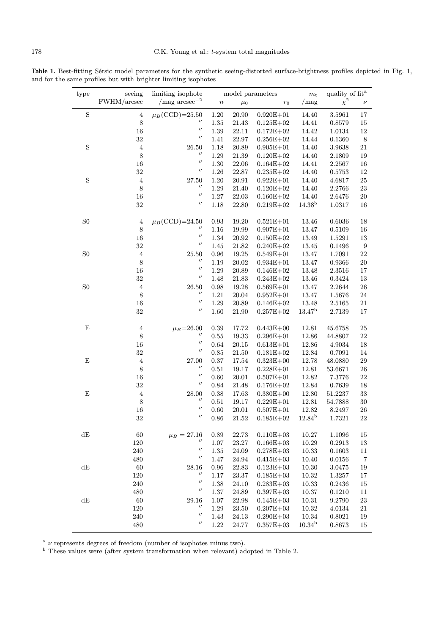Table 1. Best-fitting Sérsic model parameters for the synthetic seeing-distorted surface-brightness profiles depicted in Fig. 1, and for the same profiles but with brighter limiting isophotes

| type           | seeing         | limiting isophote<br>$\text{/mag arcsec}^{-2}$                                                                                                                                                                                                                                                                                                                                                                                                                                                                                | model parameters |           | $m_{\rm t}$   | quality of $\operatorname{fit}^{\operatorname{a}}$ |            |                  |
|----------------|----------------|-------------------------------------------------------------------------------------------------------------------------------------------------------------------------------------------------------------------------------------------------------------------------------------------------------------------------------------------------------------------------------------------------------------------------------------------------------------------------------------------------------------------------------|------------------|-----------|---------------|----------------------------------------------------|------------|------------------|
|                | FWHM/arcsec    |                                                                                                                                                                                                                                                                                                                                                                                                                                                                                                                               | $\boldsymbol{n}$ | $\mu_0$   | $r_0$         | /mag                                               | $\chi^2$   | $\nu$            |
| $\mathbf S$    | $\bf 4$        | $\mu_B$ (CCD)=25.50                                                                                                                                                                                                                                                                                                                                                                                                                                                                                                           | $1.20\,$         | 20.90     | $0.920E + 01$ | 14.40                                              | 3.5961     | 17               |
|                | 8              | $\prime\prime$                                                                                                                                                                                                                                                                                                                                                                                                                                                                                                                | 1.35             | 21.43     | $0.125E + 02$ | 14.41                                              | 0.8579     | 15               |
|                | 16             | $^{\prime\prime}$                                                                                                                                                                                                                                                                                                                                                                                                                                                                                                             | $1.39\,$         | 22.11     | $0.172E + 02$ | 14.42                                              | 1.0134     | 12               |
|                | $32\,$         | $\mathcal{U}% =\mathcal{U}^{\prime}\left( \mathcal{U}^{\prime}\right) ^{\prime}\mathcal{U}^{\prime}\left( \mathcal{U}^{\prime}\right) ^{\prime}\mathcal{U}^{\prime}\left( \mathcal{U}^{\prime}\right) \mathcal{U}^{\prime}\left( \mathcal{U}^{\prime}\right) \mathcal{U}^{\prime}\left( \mathcal{U}^{\prime}\right) \mathcal{U}^{\prime}\left( \mathcal{U}^{\prime}\right) \mathcal{U}^{\prime}\left( \mathcal{U}^{\prime}\right) \mathcal{U}^{\prime}\left( \mathcal{U}^{\prime}\right) \mathcal{U}^{\prime}\left( \mathcal$ | 1.41             | 22.97     | $0.256E + 02$ | 14.44                                              | 0.1360     | $\,8\,$          |
| $\mathbf S$    | $\bf 4$        | 26.50                                                                                                                                                                                                                                                                                                                                                                                                                                                                                                                         | 1.18             | 20.89     | $0.905E + 01$ | 14.40                                              | 3.9638     | 21               |
|                | 8              | $^{\prime\prime}$                                                                                                                                                                                                                                                                                                                                                                                                                                                                                                             | 1.29             | 21.39     | $0.120E + 02$ | 14.40                                              | 2.1809     | 19               |
|                | 16             | $\mathcal{U}% =\mathcal{U}^{\prime}\left( \mathcal{U}^{\prime}\right) ^{\prime}\mathcal{U}^{\prime}\left( \mathcal{U}^{\prime}\right) ^{\prime}\mathcal{U}^{\prime}\left( \mathcal{U}^{\prime}\right) \mathcal{U}^{\prime}\left( \mathcal{U}^{\prime}\right) \mathcal{U}^{\prime}\left( \mathcal{U}^{\prime}\right) \mathcal{U}^{\prime}\left( \mathcal{U}^{\prime}\right) \mathcal{U}^{\prime}\left( \mathcal{U}^{\prime}\right) \mathcal{U}^{\prime}\left( \mathcal{U}^{\prime}\right) \mathcal{U}^{\prime}\left( \mathcal$ | $1.30\,$         | 22.06     | $0.164E + 02$ | 14.41                                              | 2.2567     | 16               |
|                | $32\,$         | $^{\prime\prime}$                                                                                                                                                                                                                                                                                                                                                                                                                                                                                                             | 1.26             | 22.87     | $0.235E + 02$ | 14.40                                              | 0.5753     | 12               |
| $\mathbf S$    | $\bf 4$        | 27.50                                                                                                                                                                                                                                                                                                                                                                                                                                                                                                                         | 1.20             | 20.91     | $0.922E + 01$ | 14.40                                              | 4.6817     | 25               |
|                | $\,$ $\,$      | $^{\prime\prime}$                                                                                                                                                                                                                                                                                                                                                                                                                                                                                                             | 1.29             | 21.40     | $0.120E + 02$ | 14.40                                              | 2.2766     | 23               |
|                | 16             | $\prime\prime$                                                                                                                                                                                                                                                                                                                                                                                                                                                                                                                | $1.27\,$         | 22.03     | $0.160E + 02$ | 14.40                                              | 2.6476     | 20               |
|                | $32\,$         | $^{\prime\prime}$                                                                                                                                                                                                                                                                                                                                                                                                                                                                                                             | 1.18             | 22.80     | $0.219E + 02$ | 14.38 <sup>b</sup>                                 | 1.0317     | 16               |
| S <sub>0</sub> | $\bf 4$        | $\mu_B$ (CCD)=24.50                                                                                                                                                                                                                                                                                                                                                                                                                                                                                                           | $\rm 0.93$       | 19.20     | $0.521E + 01$ | 13.46                                              | 0.6036     | 18               |
|                | 8              | $^{\prime\prime}$                                                                                                                                                                                                                                                                                                                                                                                                                                                                                                             | 1.16             | 19.99     | $0.907E + 01$ | 13.47                                              | 0.5109     | 16               |
|                | 16             | $^{\prime\prime}$                                                                                                                                                                                                                                                                                                                                                                                                                                                                                                             | 1.34             | 20.92     | $0.150E + 02$ | 13.49                                              | 1.5291     | 13               |
|                | $32\,$         | $^{\prime\prime}$                                                                                                                                                                                                                                                                                                                                                                                                                                                                                                             | $1.45\,$         | 21.82     | $0.240E + 02$ | 13.45                                              | 0.1496     | $\boldsymbol{9}$ |
| S <sub>0</sub> | $\bf 4$        | 25.50                                                                                                                                                                                                                                                                                                                                                                                                                                                                                                                         | $0.96\,$         | 19.25     | $0.549E + 01$ | 13.47                                              | 1.7091     | 22               |
|                | $\,$ $\,$      | $^{\prime\prime}$                                                                                                                                                                                                                                                                                                                                                                                                                                                                                                             | 1.19             | 20.02     | $0.934E + 01$ | 13.47                                              | 0.9366     | 20               |
|                | 16             | $^{\prime\prime}$                                                                                                                                                                                                                                                                                                                                                                                                                                                                                                             | 1.29             | $20.89\,$ | $0.146E + 02$ | 13.48                                              | 2.3516     | 17               |
|                | $32\,$         | $^{\prime\prime}$                                                                                                                                                                                                                                                                                                                                                                                                                                                                                                             | 1.48             | 21.83     | $0.243E + 02$ | 13.46                                              | 0.3424     | 13               |
| S <sub>0</sub> | $\,4\,$        | 26.50                                                                                                                                                                                                                                                                                                                                                                                                                                                                                                                         | 0.98             | 19.28     | $0.569E + 01$ | 13.47                                              | 2.2644     | 26               |
|                | $\,$ $\,$      | $^{\prime\prime}$                                                                                                                                                                                                                                                                                                                                                                                                                                                                                                             | $1.21\,$         | $20.04\,$ | $0.952E + 01$ | 13.47                                              | 1.5676     | $24\,$           |
|                | 16             | $\prime\prime$                                                                                                                                                                                                                                                                                                                                                                                                                                                                                                                | 1.29             | 20.89     | $0.146E + 02$ | 13.48                                              | $2.5165\,$ | 21               |
|                | $32\,$         | $^{\prime\prime}$                                                                                                                                                                                                                                                                                                                                                                                                                                                                                                             | 1.60             | $21.90\,$ | $0.257E + 02$ | 13.47 <sup>b</sup>                                 | 2.7139     | 17               |
| $\mathbf E$    | $\overline{4}$ | $\mu_B = 26.00$                                                                                                                                                                                                                                                                                                                                                                                                                                                                                                               | $\rm 0.39$       | 17.72     | $0.443E + 00$ | 12.81                                              | 45.6758    | 25               |
|                | $\,$ $\,$      | $^{\prime\prime}$                                                                                                                                                                                                                                                                                                                                                                                                                                                                                                             | 0.55             | 19.33     | $0.296E + 01$ | 12.86                                              | 44.8807    | 22               |
|                | 16             | $\prime\prime$                                                                                                                                                                                                                                                                                                                                                                                                                                                                                                                | 0.64             | $20.15\,$ | $0.613E + 01$ | 12.86                                              | 4.9034     | 18               |
|                | $32\,$         | $\prime$                                                                                                                                                                                                                                                                                                                                                                                                                                                                                                                      | 0.85             | 21.50     | $0.181E + 02$ | 12.84                                              | 0.7091     | 14               |
| $\mathbf E$    | $\overline{4}$ | 27.00                                                                                                                                                                                                                                                                                                                                                                                                                                                                                                                         | $0.37\,$         | 17.54     | $0.323E + 00$ | 12.78                                              | 48.0880    | 29               |
|                | $\,$ $\,$      | $^{\prime\prime}$                                                                                                                                                                                                                                                                                                                                                                                                                                                                                                             | 0.51             | 19.17     | $0.228E + 01$ | 12.81                                              | 53.6671    | 26               |
|                | 16             | $^{\prime\prime}$                                                                                                                                                                                                                                                                                                                                                                                                                                                                                                             | 0.60             | 20.01     | $0.507E + 01$ | 12.82                                              | 7.3776     | 22               |
|                | $32\,$         | $^{\prime\prime}$                                                                                                                                                                                                                                                                                                                                                                                                                                                                                                             | 0.84             | 21.48     | $0.176E + 02$ | 12.84                                              | 0.7639     | 18               |
| $\mathbf E$    | $\bf 4$        | $28.00\,$                                                                                                                                                                                                                                                                                                                                                                                                                                                                                                                     | 0.38             | 17.63     | $0.380E + 00$ | 12.80                                              | 51.2237    | $33\,$           |
|                | $\,$ $\,$      | $^{\prime\prime}$                                                                                                                                                                                                                                                                                                                                                                                                                                                                                                             | 0.51             | 19.17     | $0.229E + 01$ | 12.81                                              | 54.7888    | $30\,$           |
|                | 16             | $^{\prime\prime}$                                                                                                                                                                                                                                                                                                                                                                                                                                                                                                             | 0.60             | 20.01     | $0.507E + 01$ | 12.82                                              | 8.2497     | 26               |
|                | $32\,$         | $^{\prime\prime}$                                                                                                                                                                                                                                                                                                                                                                                                                                                                                                             | $0.86\,$         | $21.52\,$ | $0.185E + 02$ | $12.84^{\rm b}$                                    | 1.7321     | $22\,$           |
| dE             | 60             | $\mu_B = 27.16$                                                                                                                                                                                                                                                                                                                                                                                                                                                                                                               | 0.89             | 22.73     | $0.110E + 03$ | 10.27                                              | 1.1096     | 15               |
|                | 120            | $^{\prime\prime}$                                                                                                                                                                                                                                                                                                                                                                                                                                                                                                             | 1.07             | $23.27\,$ | $0.166E + 03$ | 10.29                                              | 0.2913     | 13               |
|                | $240\,$        | $^{\prime\prime}$                                                                                                                                                                                                                                                                                                                                                                                                                                                                                                             | $1.35\,$         | 24.09     | $0.278E + 03$ | 10.33                                              | 0.1603     | 11               |
|                | 480            | $^{\prime\prime}$                                                                                                                                                                                                                                                                                                                                                                                                                                                                                                             | 1.47             | 24.94     | $0.415E + 03$ | 10.40                                              | 0.0156     | $\,7$            |
| dE             | 60             | 28.16                                                                                                                                                                                                                                                                                                                                                                                                                                                                                                                         | $0.96\,$         | 22.83     | $0.123E + 03$ | 10.30                                              | 3.0475     | $19\,$           |
|                | 120            | $^{\prime\prime}$                                                                                                                                                                                                                                                                                                                                                                                                                                                                                                             | $1.17\,$         | $23.37\,$ | $0.185E + 03$ | 10.32                                              | 1.3257     | 17               |
|                | $240\,$        | $^{\prime\prime}$                                                                                                                                                                                                                                                                                                                                                                                                                                                                                                             | $1.38\,$         | 24.10     | $0.283E + 03$ | 10.33                                              | 0.2436     | 15               |
|                | 480            | $^{\prime\prime}$                                                                                                                                                                                                                                                                                                                                                                                                                                                                                                             | $1.37\,$         | $24.89\,$ | $0.397E + 03$ | 10.37                                              | 0.1210     | 11               |
| dE             | $60\,$         | 29.16                                                                                                                                                                                                                                                                                                                                                                                                                                                                                                                         | 1.07             | $22.98\,$ | $0.145E + 03$ | 10.31                                              | 9.2790     | 23               |
|                | 120            | $^{\prime\prime}$                                                                                                                                                                                                                                                                                                                                                                                                                                                                                                             | $1.29\,$         | 23.50     | $0.207E + 03$ | 10.32                                              | 4.0134     | 21               |
|                | $240\,$        | $^{\prime\prime}$                                                                                                                                                                                                                                                                                                                                                                                                                                                                                                             | 1.43             | 24.13     | $0.290E + 03$ | 10.34                                              | 0.8021     | 19               |
|                | 480            | $^{\prime\prime}$                                                                                                                                                                                                                                                                                                                                                                                                                                                                                                             | 1.22             | 24.77     | $0.357E + 03$ | $10.34^{\rm b}$                                    | 0.8673     | 15               |

 $a \nu$  represents degrees of freedom (number of isophotes minus two).

<sup>b</sup> These values were (after system transformation when relevant) adopted in Table 2.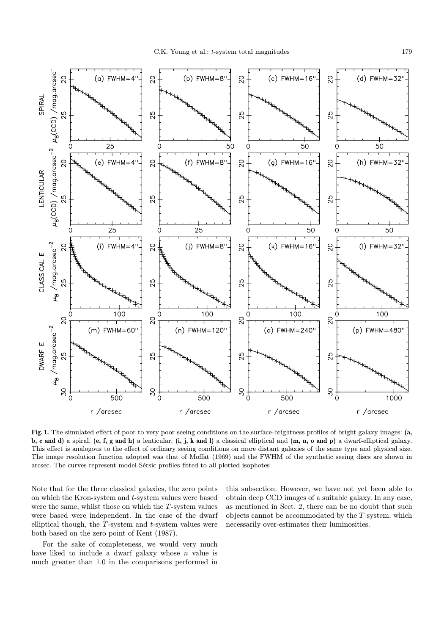

Fig. 1. The simulated effect of poor to very poor seeing conditions on the surface-brightness profiles of bright galaxy images: (a, b, c and d) a spiral, (e, f, g and h) a lenticular,  $(i, j, k \text{ and } l)$  a classical elliptical and  $(m, n, o \text{ and } p)$  a dwarf-elliptical galaxy. This effect is analogous to the effect of ordinary seeing conditions on more distant galaxies of the same type and physical size. The image resolution function adopted was that of Moffat (1969) and the FWHM of the synthetic seeing discs are shown in arcsec. The curves represent model Sérsic profiles fitted to all plotted isophotes

Note that for the three classical galaxies, the zero points on which the Kron-system and t-system values were based were the same, whilst those on which the  $T$ -system values were based were independent. In the case of the dwarf elliptical though, the  $T$ -system and  $t$ -system values were both based on the zero point of Kent (1987).

For the sake of completeness, we would very much have liked to include a dwarf galaxy whose  $n$  value is much greater than 1.0 in the comparisons performed in

this subsection. However, we have not yet been able to obtain deep CCD images of a suitable galaxy. In any case, as mentioned in Sect. 2, there can be no doubt that such objects cannot be accommodated by the  $T$  system, which necessarily over-estimates their luminosities.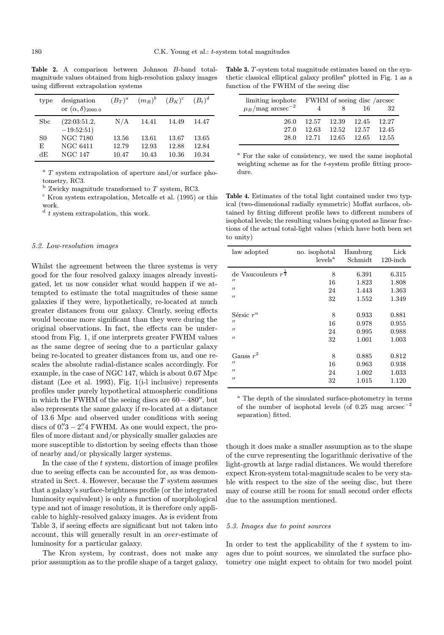Table 2. A comparison between Johnson B-band totalmagnitude values obtained from high-resolution galaxy images using different extrapolation systems

| type | designation<br>or $(\alpha, \delta)_{2000.0}$ |       | $(B_T)^a$ $(m_B)^b$ $(B_K)^c$ |       | $(B_t)^d$ |
|------|-----------------------------------------------|-------|-------------------------------|-------|-----------|
| Sbc  | (22:03:51.2,<br>$-19:52:51)$                  | N/A   | 14.41                         | 14.49 | 14.47     |
| S0   | NGC 7180                                      | 13.56 | 13.61                         | 13.67 | 13.65     |
| E    | <b>NGC 6411</b>                               | 12.79 | 12.93                         | 12.88 | 12.84     |
| dЕ   | <b>NGC 147</b>                                | 10.47 | 10.43                         | 10.36 | 10.34     |

<sup>a</sup> T system extrapolation of aperture and/or surface photometry, RC3.

 $<sup>b</sup>$  Zwicky magnitude transformed to T system. RC3.</sup>

 $\rm^c$  Kron system extrapolation, Metcalfe et al. (1995) or this work.

 $d$  t system extrapolation, this work.

### 5.2. Low-resolution images

Whilst the agreement between the three systems is very good for the four resolved galaxy images already investigated, let us now consider what would happen if we attempted to estimate the total magnitudes of these same galaxies if they were, hypothetically, re-located at much greater distances from our galaxy. Clearly, seeing effects would become more significant than they were during the original observations. In fact, the effects can be understood from Fig. 1, if one interprets greater FWHM values as the same degree of seeing due to a particular galaxy being re-located to greater distances from us, and one rescales the absolute radial-distance scales accordingly. For example, in the case of NGC 147, which is about 0.67 Mpc distant (Lee et al. 1993), Fig. 1(i-l inclusive) represents profiles under purely hypothetical atmospheric conditions in which the FWHM of the seeing discs are  $60-480$ ", but also represents the same galaxy if re-located at a distance of 13.6 Mpc and observed under conditions with seeing discs of  $0\rlap{.}^{\prime\prime}3 - 2\rlap{.}^{\prime\prime}4$  FWHM. As one would expect, the profiles of more distant and/or physically smaller galaxies are more susceptible to distortion by seeing effects than those of nearby and/or physically larger systems.

In the case of the t system, distortion of image profiles due to seeing effects can be accounted for, as was demonstrated in Sect. 4. However, because the T system assumes that a galaxy's surface-brightness profile (or the integrated luminosity equivalent) is only a function of morphological type and not of image resolution, it is therefore only applicable to highly-resolved galaxy images. As is evident from Table 3, if seeing effects are significant but not taken into account, this will generally result in an over-estimate of luminosity for a particular galaxy.

The Kron system, by contrast, does not make any prior assumption as to the profile shape of a target galaxy,

Table 3. T-system total magnitude estimates based on the synthetic classical elliptical galaxy profiles<sup>a</sup> plotted in Fig.  $1$  as a function of the FWHM of the seeing disc

| limiting isophote                | FWHM of seeing disc /arcsec |   |                         |       |  |
|----------------------------------|-----------------------------|---|-------------------------|-------|--|
| $\mu_B/\mathrm{mag~arcsec}^{-2}$ |                             | x | - 16                    | 32    |  |
| 26.0                             |                             |   | 12.57 12.39 12.45 12.27 |       |  |
| 27.0                             | 12.63                       |   | 12.52 12.57             | 12.45 |  |
| 28.0                             |                             |   | 12.71 12.65 12.65 12.55 |       |  |

<sup>a</sup> For the sake of consistency, we used the same isophotal weighting scheme as for the t-system profile fitting procedure.

Table 4. Estimates of the total light contained under two typical (two-dimensional radially symmetric) Moffat surfaces, obtained by fitting different profile laws to different numbers of isophotal levels; the resulting values being quoted as linear fractions of the actual total-light values (which have both been set to unity)

| law adopted                      | no. isophotal       | Hamburg | Lick        |
|----------------------------------|---------------------|---------|-------------|
|                                  | levels <sup>a</sup> | Schmidt | $120$ -inch |
| de Vaucouleurs $r^{\frac{1}{4}}$ | 8                   | 6.391   | 6.315       |
| $^{\prime\prime}$                | 16                  | 1.823   | 1.808       |
| $^{\prime\prime}$                | 24                  | 1.443   | 1.363       |
| $^{\prime}$                      | 32                  | 1.552   | 1.349       |
| Sérsic $r^n$                     | 8                   | 0.933   | 0.881       |
| $^{\prime\prime}$                | 16                  | 0.978   | 0.955       |
| $^{\prime}$                      | 24                  | 0.995   | 0.988       |
| $^{\prime}$                      | 32                  | 1.001   | 1.003       |
| Gauss $r^2$                      | 8                   | 0.885   | 0.812       |
| $^{\prime}$                      | 16                  | 0.963   | 0.938       |
| $^{\prime}$                      | 24                  | 1.002   | 1.033       |
| $^{\prime\prime}$                | 32                  | 1.015   | 1.120       |

<sup>a</sup> The depth of the simulated surface-photometry in terms of the number of isophotal levels (of 0.25 mag arcsec<sup>−</sup><sup>2</sup> separation) fitted.

though it does make a smaller assumption as to the shape of the curve representing the logarithmic derivative of the light-growth at large radial distances. We would therefore expect Kron-system total-magnitude scales to be very stable with respect to the size of the seeing disc, but there may of course still be room for small second order effects due to the assumption mentioned.

#### 5.3. Images due to point sources

In order to test the applicability of the  $t$  system to images due to point sources, we simulated the surface photometry one might expect to obtain for two model point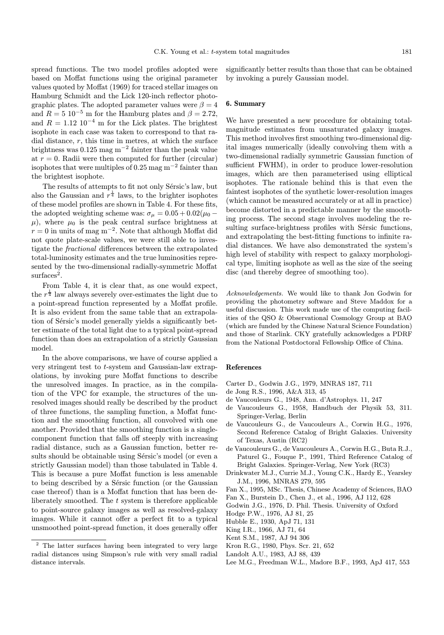spread functions. The two model profiles adopted were based on Moffat functions using the original parameter values quoted by Moffat (1969) for traced stellar images on Hamburg Schmidt and the Lick 120-inch reflector photographic plates. The adopted parameter values were  $\beta = 4$ and  $R = 5 \times 10^{-5}$  m for the Hamburg plates and  $\beta = 2.72$ , and  $R = 1.12 \, 10^{-4}$  m for the Lick plates. The brightest isophote in each case was taken to correspond to that radial distance,  $r$ , this time in metres, at which the surface brightness was  $0.125$  mag m<sup>-2</sup> fainter than the peak value at  $r = 0$ . Radii were then computed for further (circular) isophotes that were multiples of 0.25 mag  $m^{-2}$  fainter than the brightest isophote.

The results of attempts to fit not only Sérsic's law, but also the Gaussian and  $r^{\frac{1}{4}}$  laws, to the brighter isophotes of these model profiles are shown in Table 4. For these fits, the adopted weighting scheme was:  $\sigma_{\mu} = 0.05 + 0.02(\mu_0 \mu$ ), where  $\mu_0$  is the peak central surface brightness at  $r = 0$  in units of mag m<sup>-2</sup>. Note that although Moffat did not quote plate-scale values, we were still able to investigate the fractional differences between the extrapolated total-luminosity estimates and the true luminosities represented by the two-dimensional radially-symmetric Moffat  $surfaces<sup>2</sup>$ .

From Table 4, it is clear that, as one would expect, the  $r^{\frac{1}{4}}$  law always severely over-estimates the light due to a point-spread function represented by a Moffat profile. It is also evident from the same table that an extrapolation of Sérsic's model generally yields a significantly better estimate of the total light due to a typical point-spread function than does an extrapolation of a strictly Gaussian model.

In the above comparisons, we have of course applied a very stringent test to t-system and Gaussian-law extrapolations, by invoking pure Moffat functions to describe the unresolved images. In practice, as in the compilation of the VPC for example, the structures of the unresolved images should really be described by the product of three functions, the sampling function, a Moffat function and the smoothing function, all convolved with one another. Provided that the smoothing function is a singlecomponent function that falls off steeply with increasing radial distance, such as a Gaussian function, better results should be obtainable using Sérsic's model (or even a strictly Gaussian model) than those tabulated in Table 4. This is because a pure Moffat function is less amenable to being described by a Sérsic function (or the Gaussian case thereof) than is a Moffat function that has been deliberately smoothed. The t system is therefore applicable to point-source galaxy images as well as resolved-galaxy images. While it cannot offer a perfect fit to a typical unsmoothed point-spread function, it does generally offer

significantly better results than those that can be obtained by invoking a purely Gaussian model.

## 6. Summary

We have presented a new procedure for obtaining totalmagnitude estimates from unsaturated galaxy images. This method involves first smoothing two-dimensional digital images numerically (ideally convolving them with a two-dimensional radially symmetric Gaussian function of sufficient FWHM), in order to produce lower-resolution images, which are then parameterised using elliptical isophotes. The rationale behind this is that even the faintest isophotes of the synthetic lower-resolution images (which cannot be measured accurately or at all in practice) become distorted in a predictable manner by the smoothing process. The second stage involves modeling the resulting surface-brightness profiles with Sersic functions, and extrapolating the best-fitting functions to infinite radial distances. We have also demonstrated the system's high level of stability with respect to galaxy morphological type, limiting isophote as well as the size of the seeing disc (and thereby degree of smoothing too).

Acknowledgements. We would like to thank Jon Godwin for providing the photometry software and Steve Maddox for a useful discussion. This work made use of the computing facilities of the QSO & Observational Cosmology Group at BAO (which are funded by the Chinese Natural Science Foundation) and those of Starlink. CKY gratefully acknowledges a PDRF from the National Postdoctoral Fellowship Office of China.

#### References

- Carter D., Godwin J.G., 1979, MNRAS 187, 711
- de Jong R.S., 1996, A&A 313, 45
- de Vaucouleurs G., 1948, Ann. d'Astrophys. 11, 247 de Vaucouleurs G., 1958, Handbuch der Physik 53, 311.
- Springer-Verlag, Berlin de Vaucouleurs G., de Vaucouleurs A., Corwin H.G., 1976, Second Reference Catalog of Bright Galaxies. University of Texas, Austin (RC2)
- de Vaucouleurs G., de Vaucouleurs A., Corwin H.G., Buta R.J., Paturel G., Fouque P., 1991, Third Reference Catalog of Bright Galaxies. Springer-Verlag, New York (RC3)
- Drinkwater M.J., Currie M.J., Young C.K., Hardy E., Yearsley J.M., 1996, MNRAS 279, 595
- Fan X., 1995, MSc. Thesis, Chinese Academy of Sciences, BAO
- Fan X., Burstein D., Chen J., et al., 1996, AJ 112, 628
- Godwin J.G., 1976, D. Phil. Thesis. University of Oxford
- Hodge P.W., 1976, AJ 81, 25
- Hubble E., 1930, ApJ 71, 131
- King I.R., 1966, AJ 71, 64
- Kent S.M., 1987, AJ 94 306
- Kron R.G., 1980, Phys. Scr. 21, 652
- Landolt A.U., 1983, AJ 88, 439
- Lee M.G., Freedman W.L., Madore B.F., 1993, ApJ 417, 553

The latter surfaces having been integrated to very large radial distances using Simpson's rule with very small radial distance intervals.